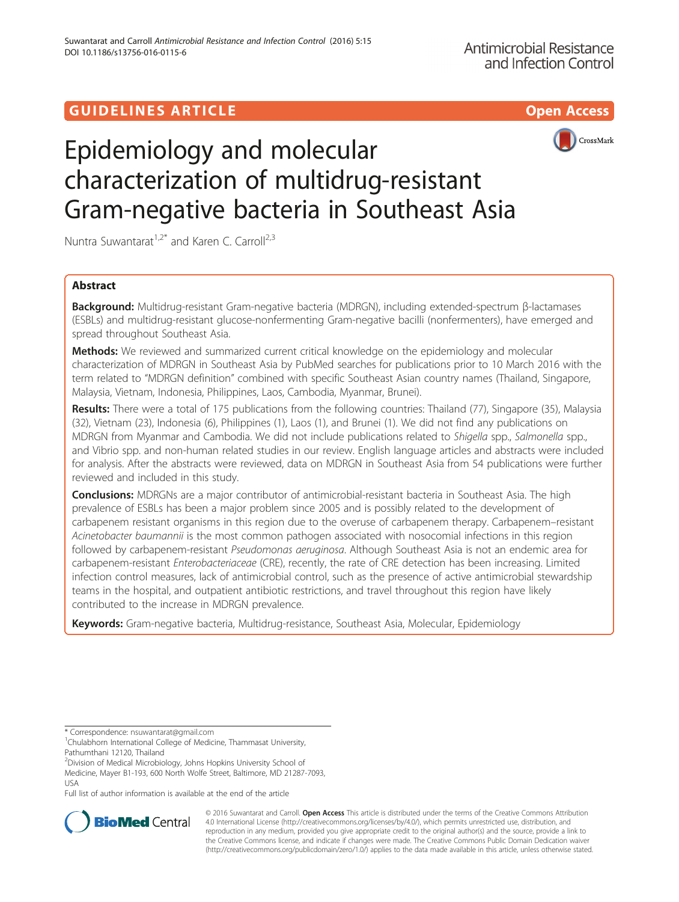# **GUIDELINES ARTICLE CONSERVATION CONSERVATION**



# Epidemiology and molecular characterization of multidrug-resistant Gram-negative bacteria in Southeast Asia

Nuntra Suwantarat<sup>1,2\*</sup> and Karen C. Carroll<sup>2,3</sup>

# Abstract

Background: Multidrug-resistant Gram-negative bacteria (MDRGN), including extended-spectrum β-lactamases (ESBLs) and multidrug-resistant glucose-nonfermenting Gram-negative bacilli (nonfermenters), have emerged and spread throughout Southeast Asia.

**Methods:** We reviewed and summarized current critical knowledge on the epidemiology and molecular characterization of MDRGN in Southeast Asia by PubMed searches for publications prior to 10 March 2016 with the term related to "MDRGN definition" combined with specific Southeast Asian country names (Thailand, Singapore, Malaysia, Vietnam, Indonesia, Philippines, Laos, Cambodia, Myanmar, Brunei).

Results: There were a total of 175 publications from the following countries: Thailand (77), Singapore (35), Malaysia (32), Vietnam (23), Indonesia (6), Philippines (1), Laos (1), and Brunei (1). We did not find any publications on MDRGN from Myanmar and Cambodia. We did not include publications related to Shigella spp., Salmonella spp., and Vibrio spp. and non-human related studies in our review. English language articles and abstracts were included for analysis. After the abstracts were reviewed, data on MDRGN in Southeast Asia from 54 publications were further reviewed and included in this study.

**Conclusions:** MDRGNs are a major contributor of antimicrobial-resistant bacteria in Southeast Asia. The high prevalence of ESBLs has been a major problem since 2005 and is possibly related to the development of carbapenem resistant organisms in this region due to the overuse of carbapenem therapy. Carbapenem–resistant Acinetobacter baumannii is the most common pathogen associated with nosocomial infections in this region followed by carbapenem-resistant Pseudomonas aeruginosa. Although Southeast Asia is not an endemic area for carbapenem-resistant Enterobacteriaceae (CRE), recently, the rate of CRE detection has been increasing. Limited infection control measures, lack of antimicrobial control, such as the presence of active antimicrobial stewardship teams in the hospital, and outpatient antibiotic restrictions, and travel throughout this region have likely contributed to the increase in MDRGN prevalence.

Keywords: Gram-negative bacteria, Multidrug-resistance, Southeast Asia, Molecular, Epidemiology

\* Correspondence: [nsuwantarat@gmail.com](mailto:nsuwantarat@gmail.com) <sup>1</sup>

<sup>1</sup>Chulabhorn International College of Medicine, Thammasat University,

Pathumthani 12120, Thailand

<sup>2</sup>Division of Medical Microbiology, Johns Hopkins University School of Medicine, Mayer B1-193, 600 North Wolfe Street, Baltimore, MD 21287-7093, USA

Full list of author information is available at the end of the article



© 2016 Suwantarat and Carroll. Open Access This article is distributed under the terms of the Creative Commons Attribution 4.0 International License ([http://creativecommons.org/licenses/by/4.0/\)](http://creativecommons.org/licenses/by/4.0/), which permits unrestricted use, distribution, and reproduction in any medium, provided you give appropriate credit to the original author(s) and the source, provide a link to the Creative Commons license, and indicate if changes were made. The Creative Commons Public Domain Dedication waiver [\(http://creativecommons.org/publicdomain/zero/1.0/](http://creativecommons.org/publicdomain/zero/1.0/)) applies to the data made available in this article, unless otherwise stated.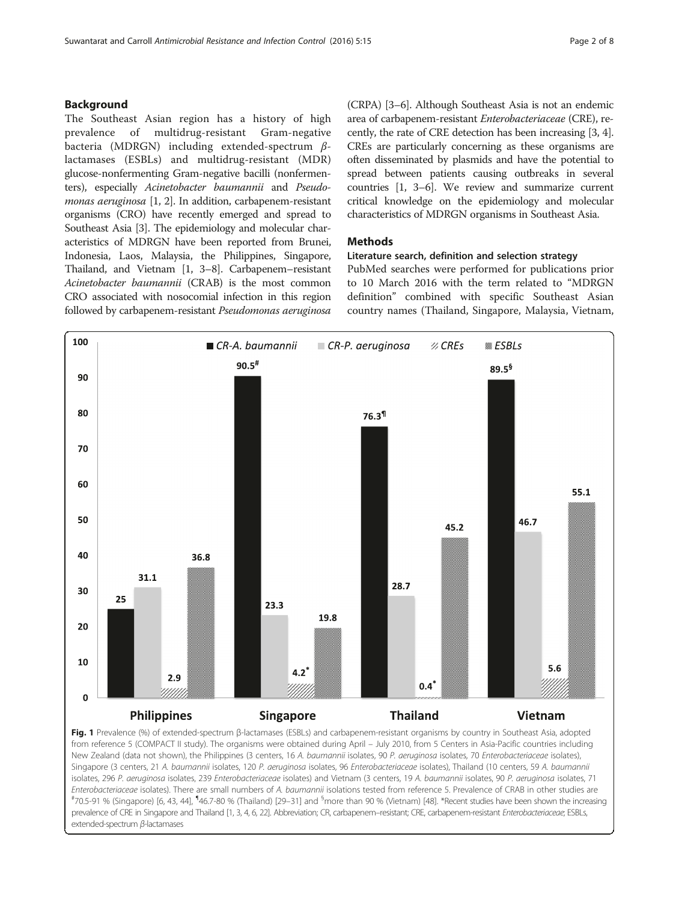# <span id="page-1-0"></span>Background

The Southeast Asian region has a history of high prevalence of multidrug-resistant Gram-negative bacteria (MDRGN) including extended-spectrum βlactamases (ESBLs) and multidrug-resistant (MDR) glucose-nonfermenting Gram-negative bacilli (nonfermenters), especially Acinetobacter baumannii and Pseudomonas aeruginosa [\[1](#page-6-0), [2\]](#page-6-0). In addition, carbapenem-resistant organisms (CRO) have recently emerged and spread to Southeast Asia [[3\]](#page-6-0). The epidemiology and molecular characteristics of MDRGN have been reported from Brunei, Indonesia, Laos, Malaysia, the Philippines, Singapore, Thailand, and Vietnam [[1](#page-6-0), [3](#page-6-0)–[8](#page-6-0)]. Carbapenem–resistant Acinetobacter baumannii (CRAB) is the most common CRO associated with nosocomial infection in this region followed by carbapenem-resistant Pseudomonas aeruginosa

(CRPA) [\[3](#page-6-0)–[6](#page-6-0)]. Although Southeast Asia is not an endemic area of carbapenem-resistant Enterobacteriaceae (CRE), recently, the rate of CRE detection has been increasing [\[3, 4](#page-6-0)]. CREs are particularly concerning as these organisms are often disseminated by plasmids and have the potential to spread between patients causing outbreaks in several countries [\[1, 3](#page-6-0)–[6\]](#page-6-0). We review and summarize current critical knowledge on the epidemiology and molecular characteristics of MDRGN organisms in Southeast Asia.

# **Methods**

# Literature search, definition and selection strategy

PubMed searches were performed for publications prior to 10 March 2016 with the term related to "MDRGN definition" combined with specific Southeast Asian country names (Thailand, Singapore, Malaysia, Vietnam,



Fig. 1 Prevalence (%) of extended-spectrum β-lactamases (ESBLs) and carbapenem-resistant organisms by country in Southeast Asia, adopted from reference 5 (COMPACT II study). The organisms were obtained during April – July 2010, from 5 Centers in Asia-Pacific countries including New Zealand (data not shown), the Philippines (3 centers, 16 A. baumannii isolates, 90 P. aeruginosa isolates, 70 Enterobacteriaceae isolates), Singapore (3 centers, 21 A. baumannii isolates, 120 P. aeruginosa isolates, 96 Enterobacteriaceae isolates), Thailand (10 centers, 59 A. baumannii isolates, 296 P. aeruginosa isolates, 239 Enterobacteriaceae isolates) and Vietnam (3 centers, 19 A. baumannii isolates, 90 P. aeruginosa isolates, 71 Enterobacteriaceae isolates). There are small numbers of A. baumannii isolations tested from reference 5. Prevalence of CRAB in other studies are #70.5-91 % (Singapore) [\[6](#page-6-0), [43, 44\]](#page-7-0), <sup>¶</sup>46.7-80 % (Thailand) [\[29](#page-7-0)–[31\]](#page-7-0) and <sup>§</sup>more than 90 % (Vietnam) [\[48](#page-7-0)]. \*Recent studies have been shown the increasing prevalence of CRE in Singapore and Thailand [[1](#page-6-0), [3, 4, 6,](#page-6-0) [22\]](#page-7-0). Abbreviation; CR, carbapenem-resistant; CRE, carbapenem-resistant Enterobacteriaceae; ESBLs, extended-spectrum β-lactamases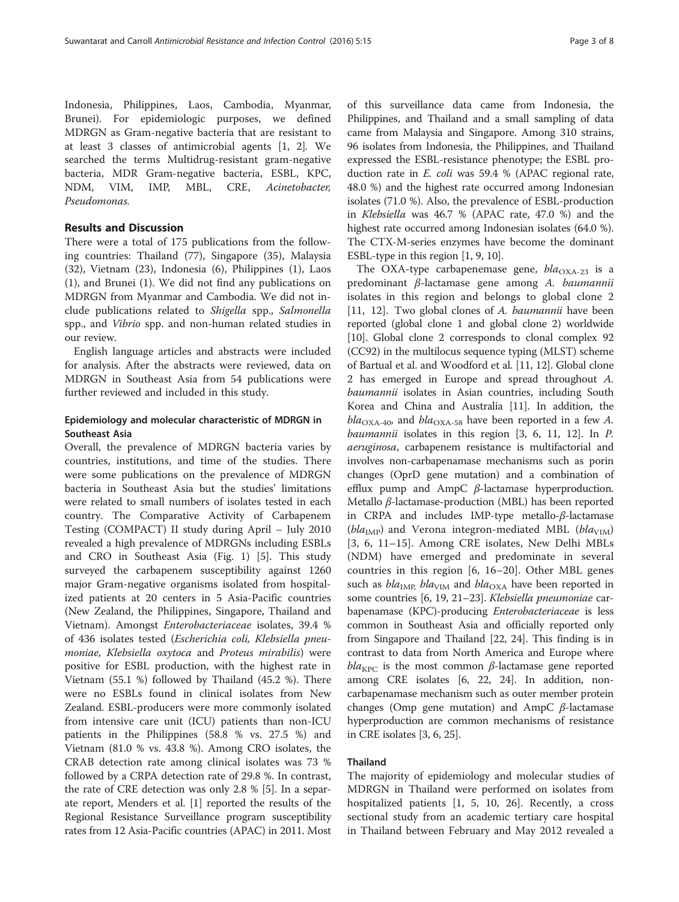Indonesia, Philippines, Laos, Cambodia, Myanmar, Brunei). For epidemiologic purposes, we defined MDRGN as Gram-negative bacteria that are resistant to at least 3 classes of antimicrobial agents [\[1](#page-6-0), [2](#page-6-0)]. We searched the terms Multidrug-resistant gram-negative bacteria, MDR Gram-negative bacteria, ESBL, KPC, NDM, VIM, IMP, MBL, CRE, Acinetobacter, Pseudomonas.

# Results and Discussion

There were a total of 175 publications from the following countries: Thailand (77), Singapore (35), Malaysia (32), Vietnam (23), Indonesia (6), Philippines (1), Laos (1), and Brunei (1). We did not find any publications on MDRGN from Myanmar and Cambodia. We did not include publications related to Shigella spp., Salmonella spp., and Vibrio spp. and non-human related studies in our review.

English language articles and abstracts were included for analysis. After the abstracts were reviewed, data on MDRGN in Southeast Asia from 54 publications were further reviewed and included in this study.

## Epidemiology and molecular characteristic of MDRGN in Southeast Asia

Overall, the prevalence of MDRGN bacteria varies by countries, institutions, and time of the studies. There were some publications on the prevalence of MDRGN bacteria in Southeast Asia but the studies' limitations were related to small numbers of isolates tested in each country. The Comparative Activity of Carbapenem Testing (COMPACT) II study during April – July 2010 revealed a high prevalence of MDRGNs including ESBLs and CRO in Southeast Asia (Fig. [1](#page-1-0)) [\[5](#page-6-0)]. This study surveyed the carbapenem susceptibility against 1260 major Gram-negative organisms isolated from hospitalized patients at 20 centers in 5 Asia-Pacific countries (New Zealand, the Philippines, Singapore, Thailand and Vietnam). Amongst Enterobacteriaceae isolates, 39.4 % of 436 isolates tested (Escherichia coli, Klebsiella pneumoniae, Klebsiella oxytoca and Proteus mirabilis) were positive for ESBL production, with the highest rate in Vietnam (55.1 %) followed by Thailand (45.2 %). There were no ESBLs found in clinical isolates from New Zealand. ESBL-producers were more commonly isolated from intensive care unit (ICU) patients than non-ICU patients in the Philippines (58.8 % vs. 27.5 %) and Vietnam (81.0 % vs. 43.8 %). Among CRO isolates, the CRAB detection rate among clinical isolates was 73 % followed by a CRPA detection rate of 29.8 %. In contrast, the rate of CRE detection was only 2.8 % [\[5\]](#page-6-0). In a separate report, Menders et al. [[1](#page-6-0)] reported the results of the Regional Resistance Surveillance program susceptibility rates from 12 Asia-Pacific countries (APAC) in 2011. Most of this surveillance data came from Indonesia, the Philippines, and Thailand and a small sampling of data came from Malaysia and Singapore. Among 310 strains, 96 isolates from Indonesia, the Philippines, and Thailand expressed the ESBL-resistance phenotype; the ESBL production rate in E. coli was 59.4 % (APAC regional rate, 48.0 %) and the highest rate occurred among Indonesian isolates (71.0 %). Also, the prevalence of ESBL-production in Klebsiella was 46.7 % (APAC rate, 47.0 %) and the highest rate occurred among Indonesian isolates (64.0 %). The CTX-M-series enzymes have become the dominant ESBL-type in this region [[1, 9](#page-6-0), [10\]](#page-6-0).

The OXA-type carbapenemase gene,  $bla_{\text{OXA-23}}$  is a predominant β-lactamase gene among A. baumannii isolates in this region and belongs to global clone 2 [[11, 12](#page-6-0)]. Two global clones of A. baumannii have been reported (global clone 1 and global clone 2) worldwide [[10](#page-6-0)]. Global clone 2 corresponds to clonal complex 92 (CC92) in the multilocus sequence typing (MLST) scheme of Bartual et al. and Woodford et al. [[11](#page-6-0), [12\]](#page-6-0). Global clone 2 has emerged in Europe and spread throughout A. baumannii isolates in Asian countries, including South Korea and China and Australia [\[11\]](#page-6-0). In addition, the  $bla_{\text{OXA-40}}$ , and  $bla_{\text{OXA-58}}$  have been reported in a few A. baumannii isolates in this region [\[3](#page-6-0), [6](#page-6-0), [11, 12\]](#page-6-0). In P. aeruginosa, carbapenem resistance is multifactorial and involves non-carbapenamase mechanisms such as porin changes (OprD gene mutation) and a combination of efflux pump and AmpC  $β$ -lactamase hyperproduction. Metallo β-lactamase-production (MBL) has been reported in CRPA and includes IMP-type metallo-β-lactamase  $(bla<sub>IMP</sub>)$  and Verona integron-mediated MBL ( $bla<sub>VIM</sub>$ ) [[3](#page-6-0), [6, 11](#page-6-0)–[15\]](#page-6-0). Among CRE isolates, New Delhi MBLs (NDM) have emerged and predominate in several countries in this region [[6, 16](#page-6-0)–[20](#page-7-0)]. Other MBL genes such as  $bla_{\text{IMP}}$ ,  $bla_{\text{VIM}}$  and  $bla_{\text{OXA}}$  have been reported in some countries [\[6,](#page-6-0) [19](#page-7-0), [21](#page-7-0)–[23](#page-7-0)]. Klebsiella pneumoniae carbapenamase (KPC)-producing Enterobacteriaceae is less common in Southeast Asia and officially reported only from Singapore and Thailand [[22](#page-7-0), [24](#page-7-0)]. This finding is in contrast to data from North America and Europe where bla<sub>KPC</sub> is the most common β-lactamase gene reported among CRE isolates [[6,](#page-6-0) [22, 24](#page-7-0)]. In addition, noncarbapenamase mechanism such as outer member protein changes (Omp gene mutation) and AmpC  $\beta$ -lactamase hyperproduction are common mechanisms of resistance in CRE isolates [\[3](#page-6-0), [6,](#page-6-0) [25](#page-7-0)].

# Thailand

The majority of epidemiology and molecular studies of MDRGN in Thailand were performed on isolates from hospitalized patients [\[1](#page-6-0), [5](#page-6-0), [10,](#page-6-0) [26\]](#page-7-0). Recently, a cross sectional study from an academic tertiary care hospital in Thailand between February and May 2012 revealed a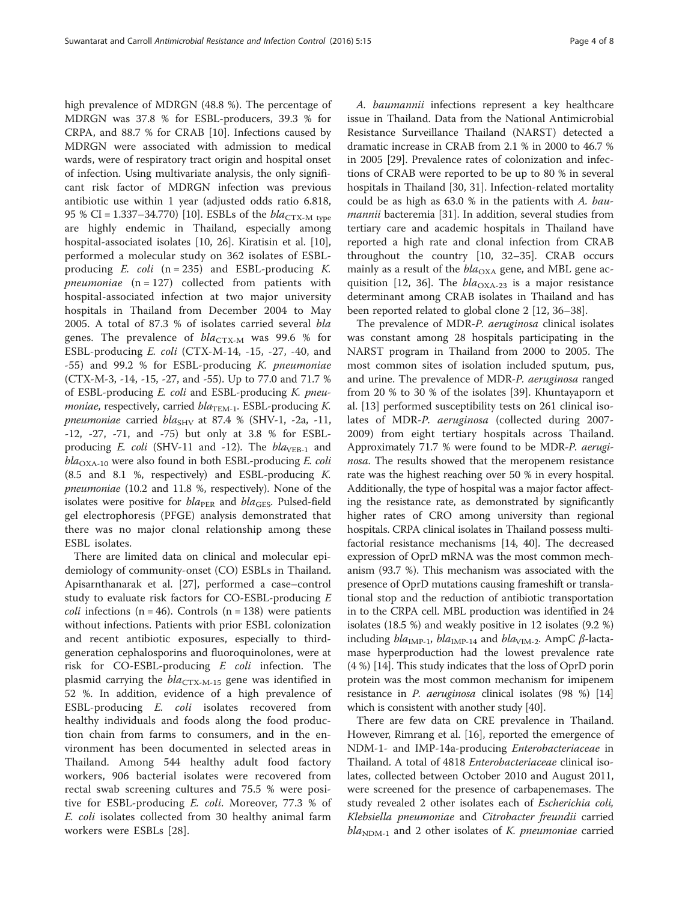high prevalence of MDRGN (48.8 %). The percentage of MDRGN was 37.8 % for ESBL-producers, 39.3 % for CRPA, and 88.7 % for CRAB [\[10](#page-6-0)]. Infections caused by MDRGN were associated with admission to medical wards, were of respiratory tract origin and hospital onset of infection. Using multivariate analysis, the only significant risk factor of MDRGN infection was previous antibiotic use within 1 year (adjusted odds ratio 6.818, 95 % CI = 1.337-34.770) [[10\]](#page-6-0). ESBLs of the  $bla_{\text{CTX-M type}}$ are highly endemic in Thailand, especially among hospital-associated isolates [\[10](#page-6-0), [26](#page-7-0)]. Kiratisin et al. [\[10](#page-6-0)], performed a molecular study on 362 isolates of ESBLproducing  $E$ . coli (n = 235) and ESBL-producing  $K$ . pneumoniae  $(n = 127)$  collected from patients with hospital-associated infection at two major university hospitals in Thailand from December 2004 to May 2005. A total of 87.3 % of isolates carried several bla genes. The prevalence of  $bla_{\text{CTX-M}}$  was 99.6 % for ESBL-producing E. coli (CTX-M-14, -15, -27, -40, and -55) and 99.2 % for ESBL-producing K. pneumoniae (CTX-M-3, -14, -15, -27, and -55). Up to 77.0 and 71.7 % of ESBL-producing E. coli and ESBL-producing K. pneu*moniae*, respectively, carried  $bla_{\text{TEM-1}}$ . ESBL-producing K. pneumoniae carried  $bla_{SHV}$  at 87.4 % (SHV-1, -2a, -11, -12, -27, -71, and -75) but only at 3.8 % for ESBLproducing E. coli (SHV-11 and -12). The  $bla_{\text{VEB-1}}$  and  $bla_{\text{OXA-10}}$  were also found in both ESBL-producing *E. coli* (8.5 and 8.1 %, respectively) and ESBL-producing K. pneumoniae (10.2 and 11.8 %, respectively). None of the isolates were positive for  $bla_{PER}$  and  $bla_{GES}$ . Pulsed-field gel electrophoresis (PFGE) analysis demonstrated that there was no major clonal relationship among these ESBL isolates.

There are limited data on clinical and molecular epidemiology of community-onset (CO) ESBLs in Thailand. Apisarnthanarak et al. [\[27\]](#page-7-0), performed a case–control study to evaluate risk factors for CO-ESBL-producing E *coli* infections  $(n = 46)$ . Controls  $(n = 138)$  were patients without infections. Patients with prior ESBL colonization and recent antibiotic exposures, especially to thirdgeneration cephalosporins and fluoroquinolones, were at risk for CO-ESBL-producing E coli infection. The plasmid carrying the  $bla_{\text{CTX-M-15}}$  gene was identified in 52 %. In addition, evidence of a high prevalence of ESBL-producing E. coli isolates recovered from healthy individuals and foods along the food production chain from farms to consumers, and in the environment has been documented in selected areas in Thailand. Among 544 healthy adult food factory workers, 906 bacterial isolates were recovered from rectal swab screening cultures and 75.5 % were positive for ESBL-producing E. coli. Moreover, 77.3 % of E. coli isolates collected from 30 healthy animal farm workers were ESBLs [[28\]](#page-7-0).

A. baumannii infections represent a key healthcare issue in Thailand. Data from the National Antimicrobial Resistance Surveillance Thailand (NARST) detected a dramatic increase in CRAB from 2.1 % in 2000 to 46.7 % in 2005 [[29](#page-7-0)]. Prevalence rates of colonization and infections of CRAB were reported to be up to 80 % in several hospitals in Thailand [\[30, 31\]](#page-7-0). Infection-related mortality could be as high as 63.0 % in the patients with A. bau-mannii bacteremia [[31\]](#page-7-0). In addition, several studies from tertiary care and academic hospitals in Thailand have reported a high rate and clonal infection from CRAB throughout the country [[10,](#page-6-0) [32](#page-7-0)–[35\]](#page-7-0). CRAB occurs mainly as a result of the  $bla_{\text{OXA}}$  gene, and MBL gene ac-quisition [\[12](#page-6-0), [36\]](#page-7-0). The  $bla_{\text{OXA-23}}$  is a major resistance determinant among CRAB isolates in Thailand and has been reported related to global clone 2 [[12,](#page-6-0) [36](#page-7-0)–[38](#page-7-0)].

The prevalence of MDR-P. aeruginosa clinical isolates was constant among 28 hospitals participating in the NARST program in Thailand from 2000 to 2005. The most common sites of isolation included sputum, pus, and urine. The prevalence of MDR-P. aeruginosa ranged from 20 % to 30 % of the isolates [[39](#page-7-0)]. Khuntayaporn et al. [\[13\]](#page-6-0) performed susceptibility tests on 261 clinical isolates of MDR-P. aeruginosa (collected during 2007- 2009) from eight tertiary hospitals across Thailand. Approximately 71.7 % were found to be MDR-P. aeruginosa. The results showed that the meropenem resistance rate was the highest reaching over 50 % in every hospital. Additionally, the type of hospital was a major factor affecting the resistance rate, as demonstrated by significantly higher rates of CRO among university than regional hospitals. CRPA clinical isolates in Thailand possess multifactorial resistance mechanisms [[14](#page-6-0), [40\]](#page-7-0). The decreased expression of OprD mRNA was the most common mechanism (93.7 %). This mechanism was associated with the presence of OprD mutations causing frameshift or translational stop and the reduction of antibiotic transportation in to the CRPA cell. MBL production was identified in 24 isolates (18.5 %) and weakly positive in 12 isolates (9.2 %) including  $bla_{\text{IMP-1}}$ ,  $bla_{\text{IMP-14}}$  and  $bla_{\text{VIM-2}}$ . AmpC  $\beta$ -lactamase hyperproduction had the lowest prevalence rate (4 %) [[14](#page-6-0)]. This study indicates that the loss of OprD porin protein was the most common mechanism for imipenem resistance in P. aeruginosa clinical isolates (98 %) [[14](#page-6-0)] which is consistent with another study [\[40\]](#page-7-0).

There are few data on CRE prevalence in Thailand. However, Rimrang et al. [[16](#page-6-0)], reported the emergence of NDM-1- and IMP-14a-producing Enterobacteriaceae in Thailand. A total of 4818 Enterobacteriaceae clinical isolates, collected between October 2010 and August 2011, were screened for the presence of carbapenemases. The study revealed 2 other isolates each of Escherichia coli, Klebsiella pneumoniae and Citrobacter freundii carried  $bla<sub>NDM-1</sub>$  and 2 other isolates of *K. pneumoniae* carried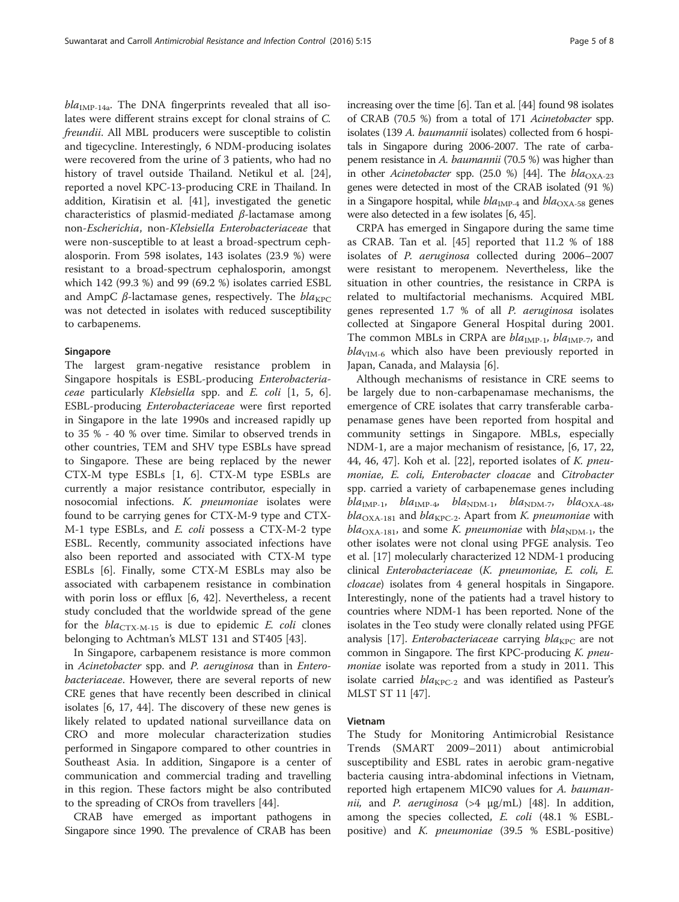$bla<sub>IMP-14a</sub>$ . The DNA fingerprints revealed that all isolates were different strains except for clonal strains of C. freundii. All MBL producers were susceptible to colistin and tigecycline. Interestingly, 6 NDM-producing isolates were recovered from the urine of 3 patients, who had no history of travel outside Thailand. Netikul et al. [\[24](#page-7-0)], reported a novel KPC-13-producing CRE in Thailand. In addition, Kiratisin et al. [[41\]](#page-7-0), investigated the genetic characteristics of plasmid-mediated  $\beta$ -lactamase among non-Escherichia, non-Klebsiella Enterobacteriaceae that were non-susceptible to at least a broad-spectrum cephalosporin. From 598 isolates, 143 isolates (23.9 %) were resistant to a broad-spectrum cephalosporin, amongst which 142 (99.3 %) and 99 (69.2 %) isolates carried ESBL and AmpC  $\beta$ -lactamase genes, respectively. The  $bla_{KPC}$ was not detected in isolates with reduced susceptibility to carbapenems.

## Singapore

The largest gram-negative resistance problem in Singapore hospitals is ESBL-producing Enterobacteriaceae particularly Klebsiella spp. and E. coli [\[1](#page-6-0), [5, 6](#page-6-0)]. ESBL-producing Enterobacteriaceae were first reported in Singapore in the late 1990s and increased rapidly up to 35 % - 40 % over time. Similar to observed trends in other countries, TEM and SHV type ESBLs have spread to Singapore. These are being replaced by the newer CTX-M type ESBLs [\[1, 6](#page-6-0)]. CTX-M type ESBLs are currently a major resistance contributor, especially in nosocomial infections. K. pneumoniae isolates were found to be carrying genes for CTX-M-9 type and CTX-M-1 type ESBLs, and E. coli possess a CTX-M-2 type ESBL. Recently, community associated infections have also been reported and associated with CTX-M type ESBLs [\[6](#page-6-0)]. Finally, some CTX-M ESBLs may also be associated with carbapenem resistance in combination with porin loss or efflux [\[6](#page-6-0), [42](#page-7-0)]. Nevertheless, a recent study concluded that the worldwide spread of the gene for the  $bla_{\text{CTX-M-15}}$  is due to epidemic E. coli clones belonging to Achtman's MLST 131 and ST405 [[43\]](#page-7-0).

In Singapore, carbapenem resistance is more common in Acinetobacter spp. and P. aeruginosa than in Enterobacteriaceae. However, there are several reports of new CRE genes that have recently been described in clinical isolates [\[6](#page-6-0), [17](#page-6-0), [44\]](#page-7-0). The discovery of these new genes is likely related to updated national surveillance data on CRO and more molecular characterization studies performed in Singapore compared to other countries in Southeast Asia. In addition, Singapore is a center of communication and commercial trading and travelling in this region. These factors might be also contributed to the spreading of CROs from travellers [[44\]](#page-7-0).

CRAB have emerged as important pathogens in Singapore since 1990. The prevalence of CRAB has been

increasing over the time [\[6\]](#page-6-0). Tan et al. [[44](#page-7-0)] found 98 isolates of CRAB (70.5 %) from a total of 171 Acinetobacter spp. isolates (139 A. baumannii isolates) collected from 6 hospitals in Singapore during 2006-2007. The rate of carbapenem resistance in A. baumannii (70.5 %) was higher than in other Acinetobacter spp. (25.0 %) [[44](#page-7-0)]. The  $bla_{\text{OXA-23}}$ genes were detected in most of the CRAB isolated (91 %) in a Singapore hospital, while  $bla_{\text{IMP-4}}$  and  $bla_{\text{OXA-58}}$  genes were also detected in a few isolates [\[6](#page-6-0), [45](#page-7-0)].

CRPA has emerged in Singapore during the same time as CRAB. Tan et al. [[45\]](#page-7-0) reported that 11.2 % of 188 isolates of P. aeruginosa collected during 2006–2007 were resistant to meropenem. Nevertheless, like the situation in other countries, the resistance in CRPA is related to multifactorial mechanisms. Acquired MBL genes represented 1.7 % of all P. aeruginosa isolates collected at Singapore General Hospital during 2001. The common MBLs in CRPA are  $bla_{\text{IMP-1}}$ ,  $bla_{\text{IMP-7}}$ , and  $bla<sub>VIM-6</sub>$  which also have been previously reported in Japan, Canada, and Malaysia [[6\]](#page-6-0).

Although mechanisms of resistance in CRE seems to be largely due to non-carbapenamase mechanisms, the emergence of CRE isolates that carry transferable carbapenamase genes have been reported from hospital and community settings in Singapore. MBLs, especially NDM-1, are a major mechanism of resistance, [\[6](#page-6-0), [17](#page-6-0), [22](#page-7-0), [44, 46](#page-7-0), [47](#page-7-0)]. Koh et al.  $[22]$  $[22]$ , reported isolates of K. pneumoniae, E. coli, Enterobacter cloacae and Citrobacter spp. carried a variety of carbapenemase genes including  $bla<sub>IMP-1</sub>, bla<sub>IMP-4</sub>, bla<sub>NDM-1</sub>, bla<sub>NDM-7</sub>, bla<sub>OXA-48</sub>$  $bla_{\text{OXA-181}}$  and  $bla_{\text{KPC-2}}$ . Apart from K. pneumoniae with  $bla_{\text{OXA-181}}$ , and some K. pneumoniae with  $bla_{\text{NDM-1}}$ , the other isolates were not clonal using PFGE analysis. Teo et al. [\[17](#page-6-0)] molecularly characterized 12 NDM-1 producing clinical Enterobacteriaceae (K. pneumoniae, E. coli, E. cloacae) isolates from 4 general hospitals in Singapore. Interestingly, none of the patients had a travel history to countries where NDM-1 has been reported. None of the isolates in the Teo study were clonally related using PFGE analysis [[17](#page-6-0)]. *Enterobacteriaceae* carrying  $bla_{KPC}$  are not common in Singapore. The first KPC-producing K. pneumoniae isolate was reported from a study in 2011. This isolate carried  $bla_{\text{KPC-2}}$  and was identified as Pasteur's MLST ST 11 [[47](#page-7-0)].

#### Vietnam

The Study for Monitoring Antimicrobial Resistance Trends (SMART 2009–2011) about antimicrobial susceptibility and ESBL rates in aerobic gram-negative bacteria causing intra-abdominal infections in Vietnam, reported high ertapenem MIC90 values for A. bauman*nii*, and *P. aeruginosa* (>4  $\mu$ g/mL) [\[48\]](#page-7-0). In addition, among the species collected, E. coli (48.1 % ESBLpositive) and K. pneumoniae (39.5 % ESBL-positive)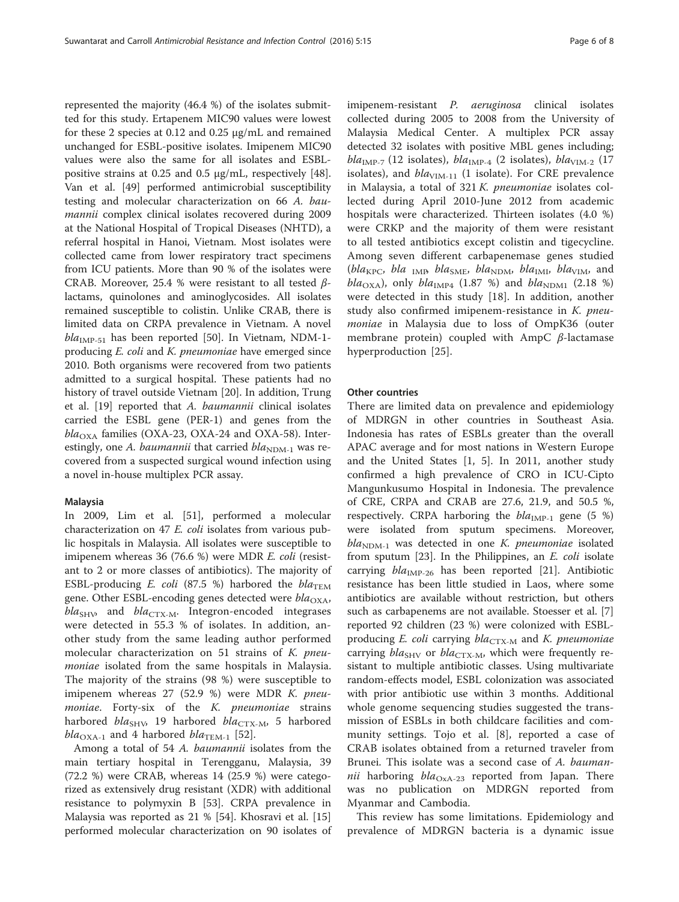represented the majority (46.4 %) of the isolates submitted for this study. Ertapenem MIC90 values were lowest for these 2 species at 0.12 and 0.25 μg/mL and remained unchanged for ESBL-positive isolates. Imipenem MIC90 values were also the same for all isolates and ESBLpositive strains at 0.25 and 0.5 μg/mL, respectively [\[48](#page-7-0)]. Van et al. [\[49\]](#page-7-0) performed antimicrobial susceptibility testing and molecular characterization on 66 A. baumannii complex clinical isolates recovered during 2009 at the National Hospital of Tropical Diseases (NHTD), a referral hospital in Hanoi, Vietnam. Most isolates were collected came from lower respiratory tract specimens from ICU patients. More than 90 % of the isolates were CRAB. Moreover, 25.4 % were resistant to all tested  $\beta$ lactams, quinolones and aminoglycosides. All isolates remained susceptible to colistin. Unlike CRAB, there is limited data on CRPA prevalence in Vietnam. A novel  $bla<sub>IMP-51</sub>$  has been reported [\[50\]](#page-7-0). In Vietnam, NDM-1producing E. coli and K. pneumoniae have emerged since 2010. Both organisms were recovered from two patients admitted to a surgical hospital. These patients had no history of travel outside Vietnam [\[20\]](#page-7-0). In addition, Trung et al. [[19\]](#page-7-0) reported that A. baumannii clinical isolates carried the ESBL gene (PER-1) and genes from the  $bla<sub>OXA</sub>$  families (OXA-23, OXA-24 and OXA-58). Interestingly, one A. baumannii that carried  $bla_{\text{NDM-1}}$  was recovered from a suspected surgical wound infection using a novel in-house multiplex PCR assay.

#### Malaysia

In 2009, Lim et al. [\[51](#page-7-0)], performed a molecular characterization on 47 E. coli isolates from various public hospitals in Malaysia. All isolates were susceptible to imipenem whereas 36 (76.6 %) were MDR E. coli (resistant to 2 or more classes of antibiotics). The majority of ESBL-producing E. coli (87.5 %) harbored the  $bla_{\text{TEM}}$ gene. Other ESBL-encoding genes detected were  $bla_{\text{OXA}}$ ,  $bla_{SHV}$ , and  $bla_{CTX-M}$ . Integron-encoded integrases were detected in 55.3 % of isolates. In addition, another study from the same leading author performed molecular characterization on 51 strains of K. pneumoniae isolated from the same hospitals in Malaysia. The majority of the strains (98 %) were susceptible to imipenem whereas 27 (52.9 %) were MDR K. pneumoniae. Forty-six of the K. pneumoniae strains harbored  $bla_{\text{SHV}}$ , 19 harbored  $bla_{\text{CTX-M}}$ , 5 harbored  $bla_{\text{OXA-1}}$  and 4 harbored  $bla_{\text{TEM-1}}$  [\[52](#page-7-0)].

Among a total of 54 A. baumannii isolates from the main tertiary hospital in Terengganu, Malaysia, 39 (72.2 %) were CRAB, whereas 14 (25.9 %) were categorized as extensively drug resistant (XDR) with additional resistance to polymyxin B [\[53\]](#page-7-0). CRPA prevalence in Malaysia was reported as 21 % [\[54](#page-7-0)]. Khosravi et al. [[15](#page-6-0)] performed molecular characterization on 90 isolates of imipenem-resistant P. aeruginosa clinical isolates collected during 2005 to 2008 from the University of Malaysia Medical Center. A multiplex PCR assay detected 32 isolates with positive MBL genes including;  $bla<sub>IMP-7</sub>$  (12 isolates),  $bla<sub>IMP-4</sub>$  (2 isolates),  $bla<sub>VIM-2</sub>$  (17 isolates), and  $bla<sub>VIM-11</sub>$  (1 isolate). For CRE prevalence in Malaysia, a total of 321 K. pneumoniae isolates collected during April 2010-June 2012 from academic hospitals were characterized. Thirteen isolates (4.0 %) were CRKP and the majority of them were resistant to all tested antibiotics except colistin and tigecycline. Among seven different carbapenemase genes studied  $(bla<sub>KPC</sub>, bla<sub>IMD</sub> bla<sub>SME</sub>, bla<sub>NDM</sub>, bla<sub>IMJ</sub>, bla<sub>VIM</sub>, and$ *bla*<sub>OXA</sub>), only *bla*<sub>IMP4</sub> (1.87 %) and *bla*<sub>NDM1</sub> (2.18 %) were detected in this study [[18\]](#page-6-0). In addition, another study also confirmed imipenem-resistance in K. pneumoniae in Malaysia due to loss of OmpK36 (outer membrane protein) coupled with AmpC  $\beta$ -lactamase hyperproduction [\[25](#page-7-0)].

#### Other countries

There are limited data on prevalence and epidemiology of MDRGN in other countries in Southeast Asia. Indonesia has rates of ESBLs greater than the overall APAC average and for most nations in Western Europe and the United States [[1, 5](#page-6-0)]. In 2011, another study confirmed a high prevalence of CRO in ICU-Cipto Mangunkusumo Hospital in Indonesia. The prevalence of CRE, CRPA and CRAB are 27.6, 21.9, and 50.5 %, respectively. CRPA harboring the  $bla_{\text{IMP-1}}$  gene (5 %) were isolated from sputum specimens. Moreover,  $bla<sub>NDM-1</sub>$  was detected in one K. pneumoniae isolated from sputum [\[23\]](#page-7-0). In the Philippines, an E. coli isolate carrying  $bla_{\text{IMP-26}}$  has been reported [\[21](#page-7-0)]. Antibiotic resistance has been little studied in Laos, where some antibiotics are available without restriction, but others such as carbapenems are not available. Stoesser et al. [\[7](#page-6-0)] reported 92 children (23 %) were colonized with ESBLproducing  $E$ . coli carrying  $bla_{CTX-M}$  and  $K$ . pneumoniae carrying  $bla_{SHV}$  or  $bla_{CTX-M}$ , which were frequently resistant to multiple antibiotic classes. Using multivariate random-effects model, ESBL colonization was associated with prior antibiotic use within 3 months. Additional whole genome sequencing studies suggested the transmission of ESBLs in both childcare facilities and community settings. Tojo et al. [\[8](#page-6-0)], reported a case of CRAB isolates obtained from a returned traveler from Brunei. This isolate was a second case of A. baumannii harboring  $bla_{\text{OxA-23}}$  reported from Japan. There was no publication on MDRGN reported from Myanmar and Cambodia.

This review has some limitations. Epidemiology and prevalence of MDRGN bacteria is a dynamic issue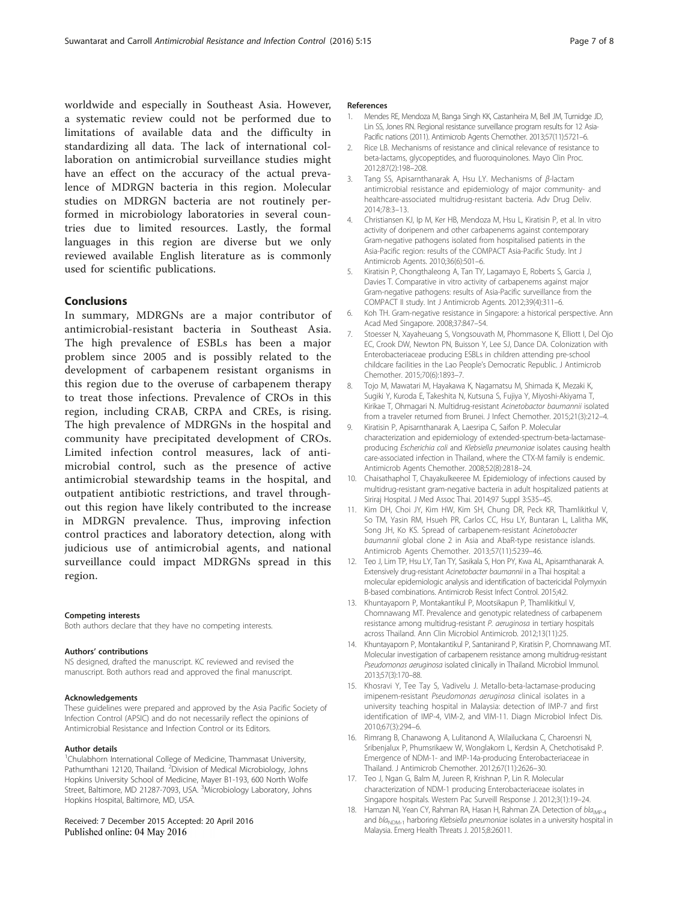<span id="page-6-0"></span>worldwide and especially in Southeast Asia. However, a systematic review could not be performed due to limitations of available data and the difficulty in standardizing all data. The lack of international collaboration on antimicrobial surveillance studies might have an effect on the accuracy of the actual prevalence of MDRGN bacteria in this region. Molecular studies on MDRGN bacteria are not routinely performed in microbiology laboratories in several countries due to limited resources. Lastly, the formal languages in this region are diverse but we only reviewed available English literature as is commonly used for scientific publications.

# Conclusions

In summary, MDRGNs are a major contributor of antimicrobial-resistant bacteria in Southeast Asia. The high prevalence of ESBLs has been a major problem since 2005 and is possibly related to the development of carbapenem resistant organisms in this region due to the overuse of carbapenem therapy to treat those infections. Prevalence of CROs in this region, including CRAB, CRPA and CREs, is rising. The high prevalence of MDRGNs in the hospital and community have precipitated development of CROs. Limited infection control measures, lack of antimicrobial control, such as the presence of active antimicrobial stewardship teams in the hospital, and outpatient antibiotic restrictions, and travel throughout this region have likely contributed to the increase in MDRGN prevalence. Thus, improving infection control practices and laboratory detection, along with judicious use of antimicrobial agents, and national surveillance could impact MDRGNs spread in this region.

#### Competing interests

Both authors declare that they have no competing interests.

#### Authors' contributions

NS designed, drafted the manuscript. KC reviewed and revised the manuscript. Both authors read and approved the final manuscript.

#### Acknowledgements

These guidelines were prepared and approved by the Asia Pacific Society of Infection Control ([APSIC\)](http://apsic.info/) and do not necessarily reflect the opinions of Antimicrobial Resistance and Infection Control or its Editors.

#### Author details

<sup>1</sup>Chulabhorn International College of Medicine, Thammasat University, Pathumthani 12120, Thailand. <sup>2</sup> Division of Medical Microbiology, Johns Hopkins University School of Medicine, Mayer B1-193, 600 North Wolfe Street, Baltimore, MD 21287-7093, USA. <sup>3</sup>Microbiology Laboratory, Johns Hopkins Hospital, Baltimore, MD, USA.

#### Received: 7 December 2015 Accepted: 20 April 2016 Published online: 04 May 2016

#### References

- 1. Mendes RE, Mendoza M, Banga Singh KK, Castanheira M, Bell JM, Turnidge JD, Lin SS, Jones RN. Regional resistance surveillance program results for 12 Asia-Pacific nations (2011). Antimicrob Agents Chemother. 2013;57(11):5721–6.
- 2. Rice LB. Mechanisms of resistance and clinical relevance of resistance to beta-lactams, glycopeptides, and fluoroquinolones. Mayo Clin Proc. 2012;87(2):198–208.
- 3. Tang SS, Apisarnthanarak A, Hsu LY. Mechanisms of β-lactam antimicrobial resistance and epidemiology of major community- and healthcare-associated multidrug-resistant bacteria. Adv Drug Deliv. 2014;78:3–13.
- 4. Christiansen KJ, Ip M, Ker HB, Mendoza M, Hsu L, Kiratisin P, et al. In vitro activity of doripenem and other carbapenems against contemporary Gram-negative pathogens isolated from hospitalised patients in the Asia-Pacific region: results of the COMPACT Asia-Pacific Study. Int J Antimicrob Agents. 2010;36(6):501–6.
- 5. Kiratisin P, Chongthaleong A, Tan TY, Lagamayo E, Roberts S, Garcia J, Davies T. Comparative in vitro activity of carbapenems against major Gram-negative pathogens: results of Asia-Pacific surveillance from the COMPACT II study. Int J Antimicrob Agents. 2012;39(4):311–6.
- 6. Koh TH. Gram-negative resistance in Singapore: a historical perspective. Ann Acad Med Singapore. 2008;37:847–54.
- 7. Stoesser N, Xayaheuang S, Vongsouvath M, Phommasone K, Elliott I, Del Ojo EC, Crook DW, Newton PN, Buisson Y, Lee SJ, Dance DA. Colonization with Enterobacteriaceae producing ESBLs in children attending pre-school childcare facilities in the Lao People's Democratic Republic. J Antimicrob Chemother. 2015;70(6):1893–7.
- 8. Tojo M, Mawatari M, Hayakawa K, Nagamatsu M, Shimada K, Mezaki K, Sugiki Y, Kuroda E, Takeshita N, Kutsuna S, Fujiya Y, Miyoshi-Akiyama T, Kirikae T, Ohmagari N. Multidrug-resistant Acinetobactor baumannii isolated from a traveler returned from Brunei. J Infect Chemother. 2015;21(3):212–4.
- 9. Kiratisin P, Apisarnthanarak A, Laesripa C, Saifon P. Molecular characterization and epidemiology of extended-spectrum-beta-lactamaseproducing Escherichia coli and Klebsiella pneumoniae isolates causing health care-associated infection in Thailand, where the CTX-M family is endemic. Antimicrob Agents Chemother. 2008;52(8):2818–24.
- 10. Chaisathaphol T, Chayakulkeeree M. Epidemiology of infections caused by multidrug-resistant gram-negative bacteria in adult hospitalized patients at Siriraj Hospital. J Med Assoc Thai. 2014;97 Suppl 3:S35–45.
- 11. Kim DH, Choi JY, Kim HW, Kim SH, Chung DR, Peck KR, Thamlikitkul V, So TM, Yasin RM, Hsueh PR, Carlos CC, Hsu LY, Buntaran L, Lalitha MK, Song JH, Ko KS. Spread of carbapenem-resistant Acinetobacter baumannii global clone 2 in Asia and AbaR-type resistance islands. Antimicrob Agents Chemother. 2013;57(11):5239–46.
- 12. Teo J, Lim TP, Hsu LY, Tan TY, Sasikala S, Hon PY, Kwa AL, Apisarnthanarak A. Extensively drug-resistant Acinetobacter baumannii in a Thai hospital: a molecular epidemiologic analysis and identification of bactericidal Polymyxin B-based combinations. Antimicrob Resist Infect Control. 2015;4:2.
- 13. Khuntayaporn P, Montakantikul P, Mootsikapun P, Thamlikitkul V, Chomnawang MT. Prevalence and genotypic relatedness of carbapenem resistance among multidrug-resistant P. aeruginosa in tertiary hospitals across Thailand. Ann Clin Microbiol Antimicrob. 2012;13(11):25.
- 14. Khuntayaporn P, Montakantikul P, Santanirand P, Kiratisin P, Chomnawang MT. Molecular investigation of carbapenem resistance among multidrug-resistant Pseudomonas aeruginosa isolated clinically in Thailand. Microbiol Immunol. 2013;57(3):170–88.
- 15. Khosravi Y, Tee Tay S, Vadivelu J. Metallo-beta-lactamase-producing imipenem-resistant Pseudomonas aeruginosa clinical isolates in a university teaching hospital in Malaysia: detection of IMP-7 and first identification of IMP-4, VIM-2, and VIM-11. Diagn Microbiol Infect Dis. 2010;67(3):294–6.
- 16. Rimrang B, Chanawong A, Lulitanond A, Wilailuckana C, Charoensri N, Sribenjalux P, Phumsrikaew W, Wonglakorn L, Kerdsin A, Chetchotisakd P. Emergence of NDM-1- and IMP-14a-producing Enterobacteriaceae in Thailand. J Antimicrob Chemother. 2012;67(11):2626–30.
- 17. Teo J, Ngan G, Balm M, Jureen R, Krishnan P, Lin R. Molecular characterization of NDM-1 producing Enterobacteriaceae isolates in Singapore hospitals. Western Pac Surveill Response J. 2012;3(1):19–24.
- 18. Hamzan NI, Yean CY, Rahman RA, Hasan H, Rahman ZA. Detection of bla<sub>IMP-4</sub> and bla<sub>NDM-1</sub> harboring Klebsiella pneumoniae isolates in a university hospital in Malaysia. Emerg Health Threats J. 2015;8:26011.